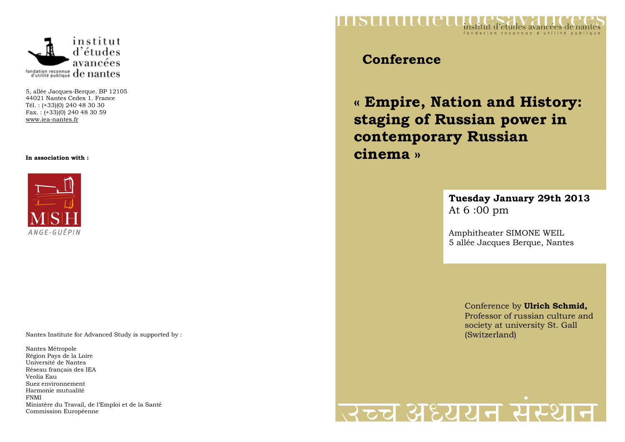

5, allée Jacques-Berque. BP 12105 44021 Nantes Cedex 1. France Tél. : (+33)(0) 240 48 30 30 Fax. : (+33)(0) 240 48 30 59 www.iea-nantes.fr

#### **In association with :**



Nantes Institute for Advanced Study is supported by :

Nantes Métropole Région Pays de la Loire Université de Nantes Réseau français des IEA Veolia Eau Suez environnement Harmonie mutualité FNMI Ministère du Travail, de l'Emploi et de la Santé Commission Européenne



## **Conference**

**« Empire, Nation and History: staging of Russian power in contemporary Russian cinema »** 

### **Tuesday January 29th 2013** At 6 :00 pm

Amphitheater SIMONE WEIL 5 allée Jacques Berque, Nantes

> Conference by **Ulrich Schmid,**  Professor of russian culture and society at university St. Gall (Switzerland)

# उच्च अध्ययन संस्था